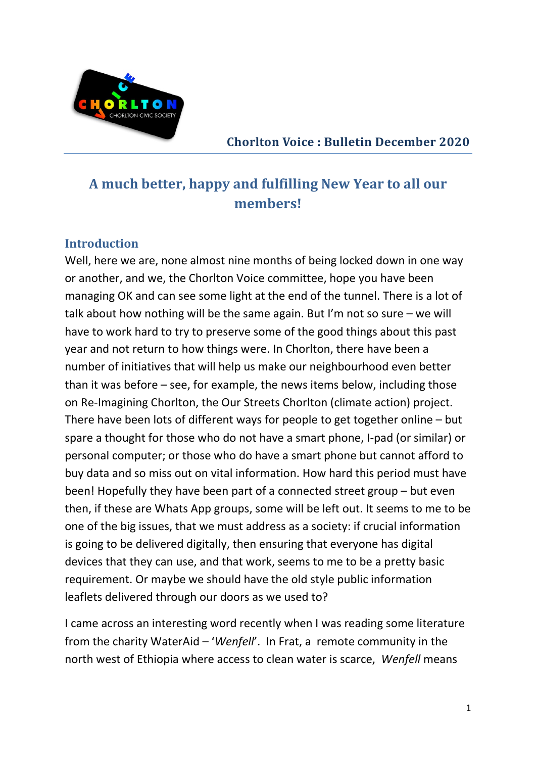

Chorlton Voice : Bulletin December 2020

# A much better, happy and fulfilling New Year to all our members!

#### **Introduction**

Well, here we are, none almost nine months of being locked down in one way or another, and we, the Chorlton Voice committee, hope you have been managing OK and can see some light at the end of the tunnel. There is a lot of talk about how nothing will be the same again. But I'm not so sure – we will have to work hard to try to preserve some of the good things about this past year and not return to how things were. In Chorlton, there have been a number of initiatives that will help us make our neighbourhood even better than it was before – see, for example, the news items below, including those on Re-Imagining Chorlton, the Our Streets Chorlton (climate action) project. There have been lots of different ways for people to get together online – but spare a thought for those who do not have a smart phone, I-pad (or similar) or personal computer; or those who do have a smart phone but cannot afford to buy data and so miss out on vital information. How hard this period must have been! Hopefully they have been part of a connected street group – but even then, if these are Whats App groups, some will be left out. It seems to me to be one of the big issues, that we must address as a society: if crucial information is going to be delivered digitally, then ensuring that everyone has digital devices that they can use, and that work, seems to me to be a pretty basic requirement. Or maybe we should have the old style public information leaflets delivered through our doors as we used to?

I came across an interesting word recently when I was reading some literature from the charity WaterAid – 'Wenfell'. In Frat, a remote community in the north west of Ethiopia where access to clean water is scarce, Wenfell means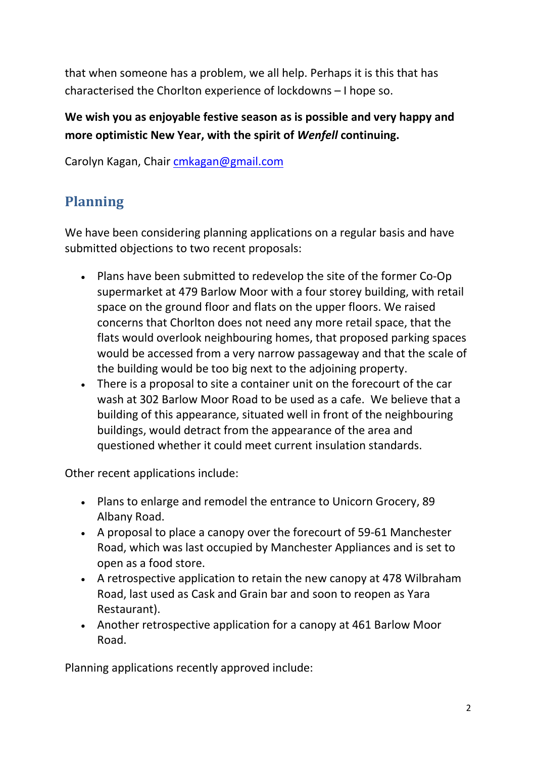that when someone has a problem, we all help. Perhaps it is this that has characterised the Chorlton experience of lockdowns – I hope so.

#### We wish you as enjoyable festive season as is possible and very happy and more optimistic New Year, with the spirit of Wenfell continuing.

Carolyn Kagan, Chair cmkagan@gmail.com

## Planning

We have been considering planning applications on a regular basis and have submitted objections to two recent proposals:

- Plans have been submitted to redevelop the site of the former Co-Op supermarket at 479 Barlow Moor with a four storey building, with retail space on the ground floor and flats on the upper floors. We raised concerns that Chorlton does not need any more retail space, that the flats would overlook neighbouring homes, that proposed parking spaces would be accessed from a very narrow passageway and that the scale of the building would be too big next to the adjoining property.
- There is a proposal to site a container unit on the forecourt of the car wash at 302 Barlow Moor Road to be used as a cafe. We believe that a building of this appearance, situated well in front of the neighbouring buildings, would detract from the appearance of the area and questioned whether it could meet current insulation standards.

Other recent applications include:

- Plans to enlarge and remodel the entrance to Unicorn Grocery, 89 Albany Road.
- A proposal to place a canopy over the forecourt of 59-61 Manchester Road, which was last occupied by Manchester Appliances and is set to open as a food store.
- A retrospective application to retain the new canopy at 478 Wilbraham Road, last used as Cask and Grain bar and soon to reopen as Yara Restaurant).
- Another retrospective application for a canopy at 461 Barlow Moor Road.

Planning applications recently approved include: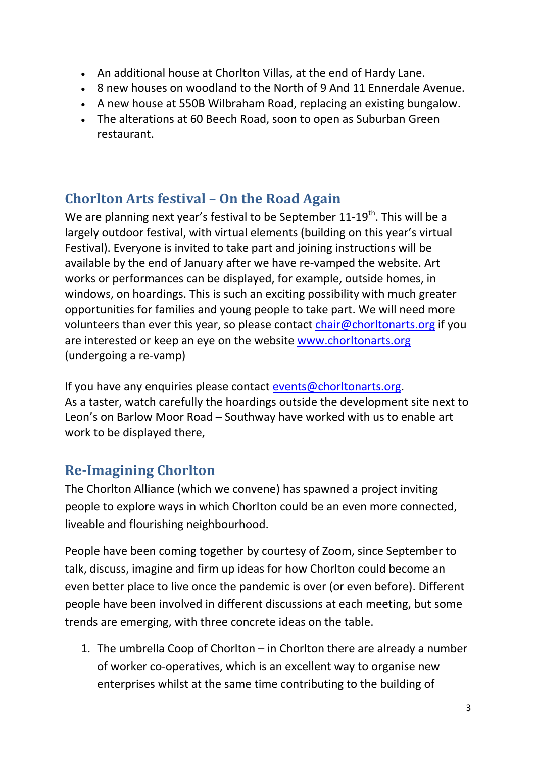- An additional house at Chorlton Villas, at the end of Hardy Lane.
- 8 new houses on woodland to the North of 9 And 11 Ennerdale Avenue.
- A new house at 550B Wilbraham Road, replacing an existing bungalow.
- The alterations at 60 Beech Road, soon to open as Suburban Green restaurant.

# Chorlton Arts festival – On the Road Again

We are planning next year's festival to be September  $11-19<sup>th</sup>$ . This will be a largely outdoor festival, with virtual elements (building on this year's virtual Festival). Everyone is invited to take part and joining instructions will be available by the end of January after we have re-vamped the website. Art works or performances can be displayed, for example, outside homes, in windows, on hoardings. This is such an exciting possibility with much greater opportunities for families and young people to take part. We will need more volunteers than ever this year, so please contact chair@chorltonarts.org if you are interested or keep an eye on the website www.chorltonarts.org (undergoing a re-vamp)

If you have any enquiries please contact events@chorltonarts.org. As a taster, watch carefully the hoardings outside the development site next to Leon's on Barlow Moor Road – Southway have worked with us to enable art work to be displayed there,

# Re-Imagining Chorlton

The Chorlton Alliance (which we convene) has spawned a project inviting people to explore ways in which Chorlton could be an even more connected, liveable and flourishing neighbourhood.

People have been coming together by courtesy of Zoom, since September to talk, discuss, imagine and firm up ideas for how Chorlton could become an even better place to live once the pandemic is over (or even before). Different people have been involved in different discussions at each meeting, but some trends are emerging, with three concrete ideas on the table.

1. The umbrella Coop of Chorlton – in Chorlton there are already a number of worker co-operatives, which is an excellent way to organise new enterprises whilst at the same time contributing to the building of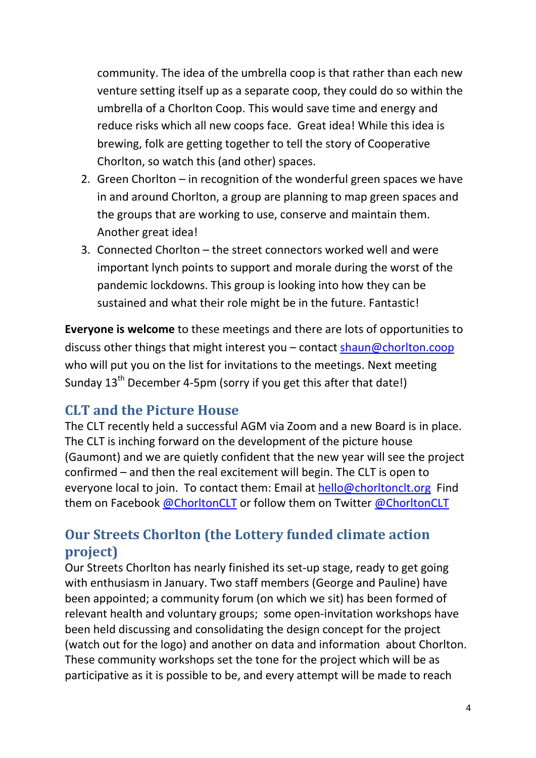community. The idea of the umbrella coop is that rather than each new venture setting itself up as a separate coop, they could do so within the umbrella of a Chorlton Coop. This would save time and energy and reduce risks which all new coops face. Great idea! While this idea is brewing, folk are getting together to tell the story of Cooperative Chorlton, so watch this (and other) spaces.

- 2. Green Chorlton in recognition of the wonderful green spaces we have in and around Chorlton, a group are planning to map green spaces and the groups that are working to use, conserve and maintain them. Another great idea!
- 3. Connected Chorlton the street connectors worked well and were important lynch points to support and morale during the worst of the pandemic lockdowns. This group is looking into how they can be sustained and what their role might be in the future. Fantastic!

Everyone is welcome to these meetings and there are lots of opportunities to discuss other things that might interest you – contact shaun@chorlton.coop who will put you on the list for invitations to the meetings. Next meeting Sunday 13<sup>th</sup> December 4-5pm (sorry if you get this after that date!)

#### CLT and the Picture House

The CLT recently held a successful AGM via Zoom and a new Board is in place. The CLT is inching forward on the development of the picture house (Gaumont) and we are quietly confident that the new year will see the project confirmed – and then the real excitement will begin. The CLT is open to everyone local to join. To contact them: Email at hello@chorltonclt.org Find them on Facebook @ChorltonCLT or follow them on Twitter @ChorltonCLT

## Our Streets Chorlton (the Lottery funded climate action project)

Our Streets Chorlton has nearly finished its set-up stage, ready to get going with enthusiasm in January. Two staff members (George and Pauline) have been appointed; a community forum (on which we sit) has been formed of relevant health and voluntary groups; some open-invitation workshops have been held discussing and consolidating the design concept for the project (watch out for the logo) and another on data and information about Chorlton. These community workshops set the tone for the project which will be as participative as it is possible to be, and every attempt will be made to reach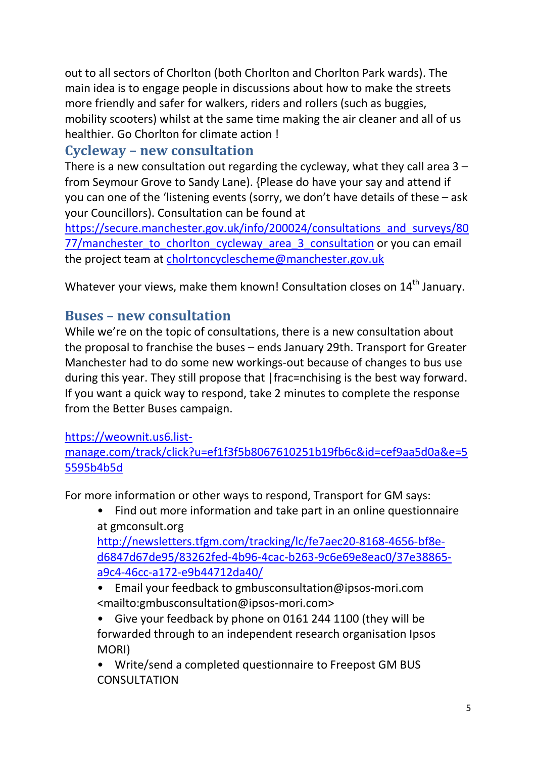out to all sectors of Chorlton (both Chorlton and Chorlton Park wards). The main idea is to engage people in discussions about how to make the streets more friendly and safer for walkers, riders and rollers (such as buggies, mobility scooters) whilst at the same time making the air cleaner and all of us healthier. Go Chorlton for climate action !

#### Cycleway – new consultation

There is a new consultation out regarding the cycleway, what they call area  $3$ from Seymour Grove to Sandy Lane). {Please do have your say and attend if you can one of the 'listening events (sorry, we don't have details of these – ask your Councillors). Consultation can be found at

https://secure.manchester.gov.uk/info/200024/consultations\_and\_surveys/80 77/manchester\_to\_chorlton\_cycleway\_area\_3\_consultation or you can email the project team at cholrtoncyclescheme@manchester.gov.uk

Whatever your views, make them known! Consultation closes on 14<sup>th</sup> January.

#### Buses – new consultation

While we're on the topic of consultations, there is a new consultation about the proposal to franchise the buses – ends January 29th. Transport for Greater Manchester had to do some new workings-out because of changes to bus use during this year. They still propose that |frac=nchising is the best way forward. If you want a quick way to respond, take 2 minutes to complete the response from the Better Buses campaign.

#### https://weownit.us6.list-

manage.com/track/click?u=ef1f3f5b8067610251b19fb6c&id=cef9aa5d0a&e=5 5595b4b5d

For more information or other ways to respond, Transport for GM says:

• Find out more information and take part in an online questionnaire at gmconsult.org

http://newsletters.tfgm.com/tracking/lc/fe7aec20-8168-4656-bf8ed6847d67de95/83262fed-4b96-4cac-b263-9c6e69e8eac0/37e38865 a9c4-46cc-a172-e9b44712da40/

- Email your feedback to gmbusconsultation@ipsos-mori.com <mailto:gmbusconsultation@ipsos-mori.com>
- Give your feedback by phone on 0161 244 1100 (they will be forwarded through to an independent research organisation Ipsos MORI)
- Write/send a completed questionnaire to Freepost GM BUS CONSULTATION